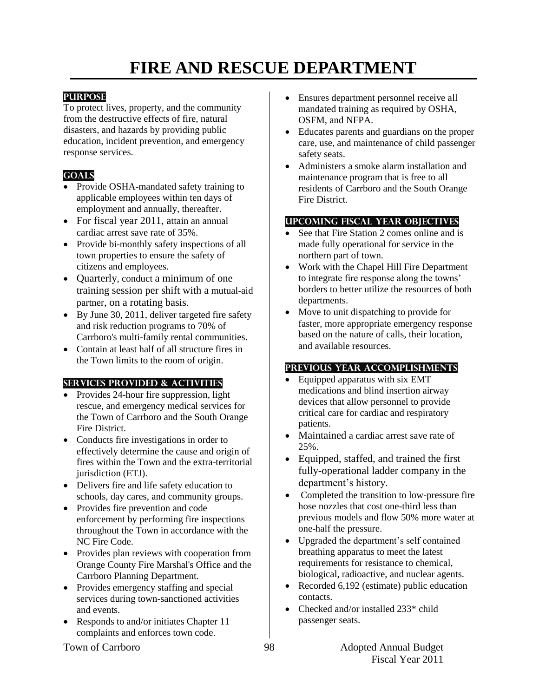# **FIRE AND RESCUE DEPARTMENT**

## **PURPOSE**

To protect lives, property, and the community from the destructive effects of fire, natural disasters, and hazards by providing public education, incident prevention, and emergency response services.

## **GOALS**

- Provide OSHA-mandated safety training to applicable employees within ten days of employment and annually, thereafter.
- For fiscal year 2011, attain an annual cardiac arrest save rate of 35%.
- Provide bi-monthly safety inspections of all town properties to ensure the safety of citizens and employees.
- Quarterly, conduct a minimum of one training session per shift with a mutual-aid partner, on a rotating basis.
- By June 30, 2011, deliver targeted fire safety and risk reduction programs to 70% of Carrboro's multi-family rental communities.
- Contain at least half of all structure fires in the Town limits to the room of origin.

## **SERVICES PROVIDED & ACTIVITIES**

- Provides 24-hour fire suppression, light rescue, and emergency medical services for the Town of Carrboro and the South Orange Fire District.
- Conducts fire investigations in order to effectively determine the cause and origin of fires within the Town and the extra-territorial jurisdiction (ETJ).
- Delivers fire and life safety education to schools, day cares, and community groups.
- Provides fire prevention and code enforcement by performing fire inspections throughout the Town in accordance with the NC Fire Code.
- Provides plan reviews with cooperation from Orange County Fire Marshal's Office and the Carrboro Planning Department.
- Provides emergency staffing and special services during town-sanctioned activities and events.
- Responds to and/or initiates Chapter 11 complaints and enforces town code.
- Ensures department personnel receive all mandated training as required by OSHA, OSFM, and NFPA.
- Educates parents and guardians on the proper care, use, and maintenance of child passenger safety seats.
- Administers a smoke alarm installation and maintenance program that is free to all residents of Carrboro and the South Orange Fire District.

## **UPCOMING FISCAL YEAR OBJECTIVES**

- See that Fire Station 2 comes online and is made fully operational for service in the northern part of town.
- Work with the Chapel Hill Fire Department to integrate fire response along the towns' borders to better utilize the resources of both departments.
- Move to unit dispatching to provide for faster, more appropriate emergency response based on the nature of calls, their location, and available resources.

## **PREVIOUS YEAR ACCOMPLISHMENTS**

- Equipped apparatus with six EMT medications and blind insertion airway devices that allow personnel to provide critical care for cardiac and respiratory patients.
- Maintained a cardiac arrest save rate of 25%.
- Equipped, staffed, and trained the first fully-operational ladder company in the department's history.
- Completed the transition to low-pressure fire hose nozzles that cost one-third less than previous models and flow 50% more water at one-half the pressure.
- Upgraded the department's self contained breathing apparatus to meet the latest requirements for resistance to chemical, biological, radioactive, and nuclear agents.
- Recorded 6,192 (estimate) public education contacts.
- Checked and/or installed 233\* child passenger seats.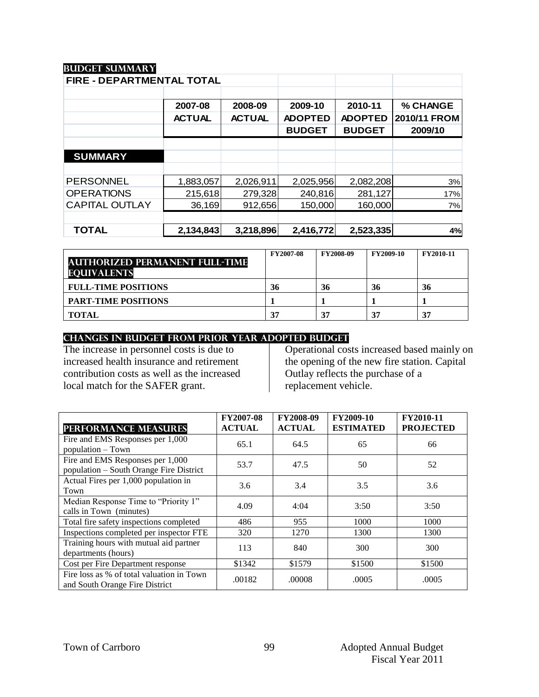## **Budget summary**

| <b>FIRE - DEPARTMENTAL TOTAL</b> |               |               |                |                |              |
|----------------------------------|---------------|---------------|----------------|----------------|--------------|
|                                  |               |               |                |                |              |
|                                  | 2007-08       | 2008-09       | 2009-10        | 2010-11        | % CHANGE     |
|                                  | <b>ACTUAL</b> | <b>ACTUAL</b> | <b>ADOPTED</b> | <b>ADOPTED</b> | 2010/11 FROM |
|                                  |               |               | <b>BUDGET</b>  | <b>BUDGET</b>  | 2009/10      |
|                                  |               |               |                |                |              |
| <b>SUMMARY</b>                   |               |               |                |                |              |
|                                  |               |               |                |                |              |
| <b>PERSONNEL</b>                 | 1,883,057     | 2,026,911     | 2,025,956      | 2,082,208      | 3%           |
| <b>OPERATIONS</b>                | 215,618       | 279,328       | 240,816        | 281,127        | 17%          |
| <b>CAPITAL OUTLAY</b>            | 36,169        | 912,656       | 150,000        | 160,000        | 7%           |
|                                  |               |               |                |                |              |
| <b>TOTAL</b>                     | 2,134,843     | 3,218,896     | 2,416,772      | 2,523,335      | 4%           |

| <b>AUTHORIZED PERMANENT FULL-TIME</b><br><b>EQUIVALENTS</b> | FY2007-08 | <b>FY2008-09</b> | <b>FY2009-10</b> | FY2010-11 |
|-------------------------------------------------------------|-----------|------------------|------------------|-----------|
| <b>FULL-TIME POSITIONS</b>                                  | 36        | 36               | 36               | 36        |
| <b>PART-TIME POSITIONS</b>                                  |           |                  |                  |           |
| <b>TOTAL</b>                                                | 37        | 37               | 37               | 37        |

#### **CHANGES IN BUDGET from PRIOR YEAR ADOPTED BUDGET**

The increase in personnel costs is due to increased health insurance and retirement contribution costs as well as the increased local match for the SAFER grant.

Operational costs increased based mainly on the opening of the new fire station. Capital Outlay reflects the purchase of a replacement vehicle.

| <b>PERFORMANCE MEASURES</b>                                                 | <b>FY2007-08</b><br><b>ACTUAL</b> | <b>FY2008-09</b><br><b>ACTUAL</b> | <b>FY2009-10</b><br><b>ESTIMATED</b> | FY2010-11<br><b>PROJECTED</b> |
|-----------------------------------------------------------------------------|-----------------------------------|-----------------------------------|--------------------------------------|-------------------------------|
| Fire and EMS Responses per 1,000<br>population - Town                       | 65.1                              | 64.5                              | 65                                   | 66                            |
| Fire and EMS Responses per 1,000<br>population – South Orange Fire District | 53.7                              | 47.5                              | 50                                   | 52                            |
| Actual Fires per 1,000 population in<br>Town                                | 3.6                               | 3.4                               | 3.5                                  | 3.6                           |
| Median Response Time to "Priority 1"<br>calls in Town (minutes)             | 4.09                              | 4:04                              | 3:50                                 | 3:50                          |
| Total fire safety inspections completed                                     | 486                               | 955                               | 1000                                 | 1000                          |
| Inspections completed per inspector FTE                                     | 320                               | 1270                              | 1300                                 | 1300                          |
| Training hours with mutual aid partner<br>departments (hours)               | 113                               | 840                               | 300                                  | 300                           |
| Cost per Fire Department response                                           | \$1342                            | \$1579                            | \$1500                               | \$1500                        |
| Fire loss as % of total valuation in Town<br>and South Orange Fire District | .00182                            | .00008                            | .0005                                | .0005                         |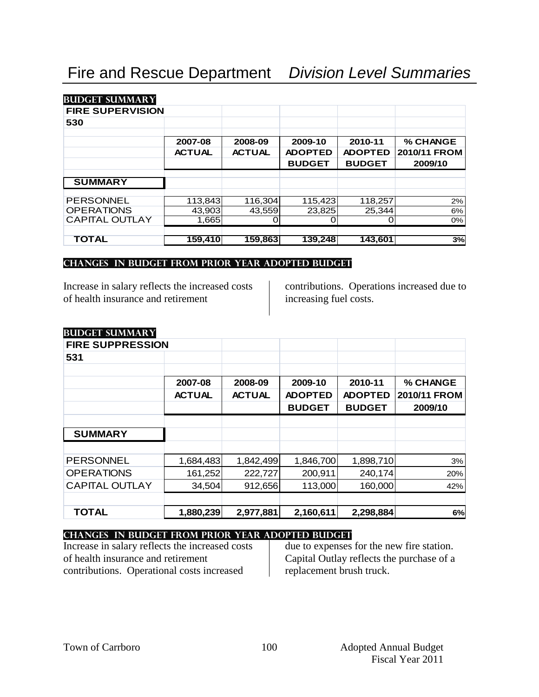| <b>BUDGET SUMMARY</b>   |               |               |                |                |              |
|-------------------------|---------------|---------------|----------------|----------------|--------------|
| <b>FIRE SUPERVISION</b> |               |               |                |                |              |
| 530                     |               |               |                |                |              |
|                         | 2007-08       | 2008-09       | 2009-10        | 2010-11        | % CHANGE     |
|                         | <b>ACTUAL</b> | <b>ACTUAL</b> | <b>ADOPTED</b> | <b>ADOPTED</b> | 2010/11 FROM |
|                         |               |               | <b>BUDGET</b>  | <b>BUDGET</b>  | 2009/10      |
|                         |               |               |                |                |              |
| <b>SUMMARY</b>          |               |               |                |                |              |
| <b>PERSONNEL</b>        | 113,843       | 116,304       | 115,423        | 118,257        | 2%           |
| <b>OPERATIONS</b>       | 43.903        | 43.559        | 23,825         | 25,344         | 6%           |
| <b>CAPITAL OUTLAY</b>   | 1,665         |               |                |                | 0%           |
| TOTAL                   | 159,410       | 159,863       | 139,248        | 143,601        | 3%           |

#### **changes in budget from prior year adopted budgeT**

Increase in salary reflects the increased costs of health insurance and retirement

contributions. Operations increased due to increasing fuel costs.

| <b>BUDGET SUMMARY</b> |
|-----------------------|

| <b>FIRE SUPPRESSION</b> |               |               |                |                |              |
|-------------------------|---------------|---------------|----------------|----------------|--------------|
| 531                     |               |               |                |                |              |
|                         |               |               |                |                |              |
|                         | 2007-08       | 2008-09       | 2009-10        | 2010-11        | % CHANGE     |
|                         | <b>ACTUAL</b> | <b>ACTUAL</b> | <b>ADOPTED</b> | <b>ADOPTED</b> | 2010/11 FROM |
|                         |               |               | <b>BUDGET</b>  | <b>BUDGET</b>  | 2009/10      |
|                         |               |               |                |                |              |
| <b>SUMMARY</b>          |               |               |                |                |              |
|                         |               |               |                |                |              |
| <b>PERSONNEL</b>        | 1,684,483     | 1,842,499     | 1,846,700      | 1,898,710      | 3%           |
| <b>OPERATIONS</b>       | 161,252       | 222,727       | 200,911        | 240,174        | 20%          |
| <b>CAPITAL OUTLAY</b>   | 34,504        | 912,656       | 113,000        | 160,000        | 42%          |
|                         |               |               |                |                |              |
| <b>TOTAL</b>            | 1,880,239     | 2,977,881     | 2,160,611      | 2,298,884      | 6%           |

# **changes in budget from prior year adopted budget**

Increase in salary reflects the increased costs of health insurance and retirement contributions. Operational costs increased

due to expenses for the new fire station. Capital Outlay reflects the purchase of a replacement brush truck.